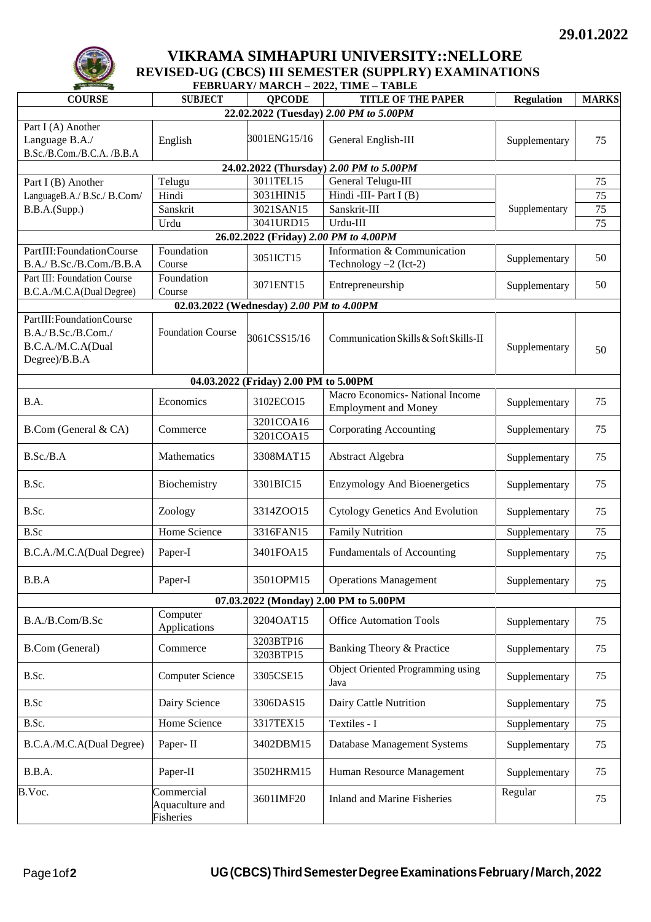

## **VIKRAMA SIMHAPURI UNIVERSITY::NELLORE REVISED-UG (CBCS) III SEMESTER (SUPPLRY) EXAMINATIONS**

| FEBRUARY/MARCH - 2022, TIME - TABLE                                                    |                                            |                        |                                                                 |                   |                 |  |  |  |  |
|----------------------------------------------------------------------------------------|--------------------------------------------|------------------------|-----------------------------------------------------------------|-------------------|-----------------|--|--|--|--|
| <b>COURSE</b>                                                                          | <b>SUBJECT</b>                             | <b>OPCODE</b>          | <b>TITLE OF THE PAPER</b>                                       | <b>Regulation</b> | <b>MARKS</b>    |  |  |  |  |
| 22.02.2022 (Tuesday) 2.00 PM to 5.00PM                                                 |                                            |                        |                                                                 |                   |                 |  |  |  |  |
| Part I (A) Another<br>Language B.A./<br>B.Sc./B.Com./B.C.A. /B.B.A                     | English                                    | 3001ENG15/16           | General English-III                                             | Supplementary     | 75              |  |  |  |  |
| 24.02.2022 (Thursday) 2.00 PM to 5.00PM                                                |                                            |                        |                                                                 |                   |                 |  |  |  |  |
| Part I (B) Another                                                                     | Telugu                                     | 3011TEL15              | General Telugu-III                                              |                   | 75              |  |  |  |  |
| LanguageB.A./ B.Sc./ B.Com/                                                            | Hindi                                      | 3031HIN15              | Hindi -III- Part I $(B)$                                        |                   | 75              |  |  |  |  |
| B.B.A.(Supp.)                                                                          | Sanskrit                                   | 3021SAN15              | Sanskrit-III                                                    | Supplementary     | 75              |  |  |  |  |
|                                                                                        | Urdu                                       | 3041URD15              | Urdu-III                                                        |                   | $\overline{75}$ |  |  |  |  |
| 26.02.2022 (Friday) 2.00 PM to 4.00PM                                                  |                                            |                        |                                                                 |                   |                 |  |  |  |  |
| PartIII: Foundation Course                                                             | Foundation                                 | 3051ICT15              | Information & Communication                                     | Supplementary     | 50              |  |  |  |  |
| B.A./ B.Sc./B.Com./B.B.A                                                               | Course                                     |                        | Technology $-2$ (Ict-2)                                         |                   |                 |  |  |  |  |
| Part III: Foundation Course<br>B.C.A./M.C.A(Dual Degree)                               | Foundation<br>Course                       | 3071ENT15              | Entrepreneurship                                                | Supplementary     | 50              |  |  |  |  |
| 02.03.2022 (Wednesday) 2.00 PM to 4.00PM                                               |                                            |                        |                                                                 |                   |                 |  |  |  |  |
| PartIII: Foundation Course<br>B.A./B.Sc./B.Com./<br>B.C.A./M.C.A(Dual<br>Degree)/B.B.A | <b>Foundation Course</b>                   | 3061CSS15/16           | Communication Skills & Soft Skills-II                           | Supplementary     | 50              |  |  |  |  |
| 04.03.2022 (Friday) 2.00 PM to 5.00PM                                                  |                                            |                        |                                                                 |                   |                 |  |  |  |  |
| B.A.                                                                                   | Economics                                  | 3102ECO15              | Macro Economics- National Income<br><b>Employment and Money</b> | Supplementary     | 75              |  |  |  |  |
| B.Com (General & CA)                                                                   | Commerce                                   | 3201COA16<br>3201COA15 | Corporating Accounting                                          | Supplementary     | 75              |  |  |  |  |
| B.Sc./B.A                                                                              | <b>Mathematics</b>                         | 3308MAT15              | Abstract Algebra                                                | Supplementary     | 75              |  |  |  |  |
| B.Sc.                                                                                  | Biochemistry                               | 3301BIC15              | <b>Enzymology And Bioenergetics</b>                             | Supplementary     | 75              |  |  |  |  |
| B.Sc.                                                                                  | Zoology                                    | 3314ZOO15              | <b>Cytology Genetics And Evolution</b>                          | Supplementary     | 75              |  |  |  |  |
| B.Sc                                                                                   | Home Science                               | 3316FAN15              | <b>Family Nutrition</b>                                         | Supplementary     | 75              |  |  |  |  |
| B.C.A./M.C.A(Dual Degree)                                                              | Paper-I                                    | 3401FOA15              | Fundamentals of Accounting                                      | Supplementary     | 75              |  |  |  |  |
| B.B.A                                                                                  | Paper-I                                    | 3501OPM15              | <b>Operations Management</b>                                    | Supplementary     | 75              |  |  |  |  |
| 07.03.2022 (Monday) 2.00 PM to 5.00PM                                                  |                                            |                        |                                                                 |                   |                 |  |  |  |  |
| B.A./B.Com/B.Sc                                                                        | Computer<br>Applications                   | 3204OAT15              | <b>Office Automation Tools</b>                                  | Supplementary     | 75              |  |  |  |  |
| <b>B.Com</b> (General)                                                                 | Commerce                                   | 3203BTP16<br>3203BTP15 | Banking Theory & Practice                                       | Supplementary     | 75              |  |  |  |  |
| B.Sc.                                                                                  | Computer Science                           | 3305CSE15              | Object Oriented Programming using<br>Java                       | Supplementary     | 75              |  |  |  |  |
| B.Sc                                                                                   | Dairy Science                              | 3306DAS15              | Dairy Cattle Nutrition                                          | Supplementary     | 75              |  |  |  |  |
| B.Sc.                                                                                  | <b>Home Science</b>                        | 3317TEX15              | Textiles - I                                                    | Supplementary     | 75              |  |  |  |  |
| B.C.A./M.C.A(Dual Degree)                                                              | Paper-II                                   | 3402DBM15              | Database Management Systems                                     | Supplementary     | 75              |  |  |  |  |
| B.B.A.                                                                                 | Paper-II                                   | 3502HRM15              | Human Resource Management                                       | Supplementary     | 75              |  |  |  |  |
| B.Voc.                                                                                 | Commercial<br>Aquaculture and<br>Fisheries | 3601IMF20              | <b>Inland and Marine Fisheries</b>                              | Regular           | 75              |  |  |  |  |